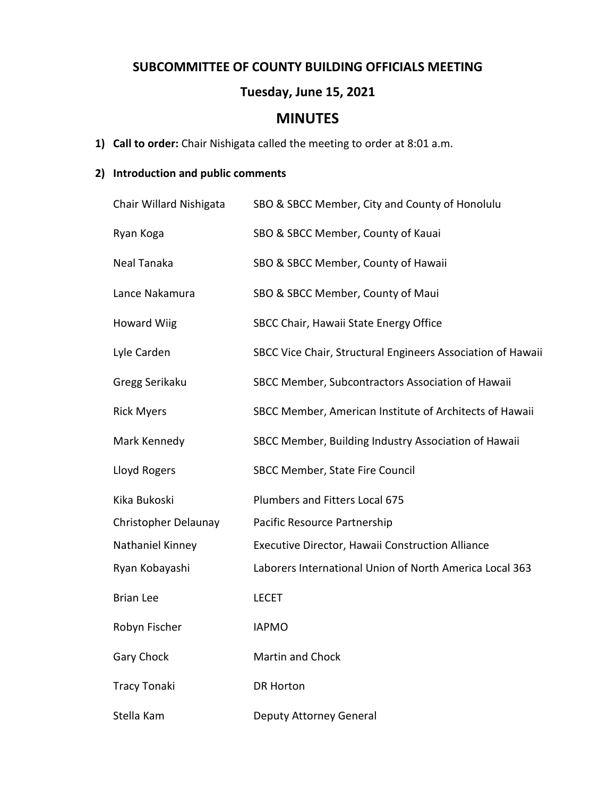### **SUBCOMMITTEE OF COUNTY BUILDING OFFICIALS MEETING**

## **Tuesday, June 15, 2021**

# **MINUTES**

**1) Call to order:** Chair Nishigata called the meeting to order at 8:01 a.m.

### **2) Introduction and public comments**

| Chair Willard Nishigata | SBO & SBCC Member, City and County of Honolulu              |
|-------------------------|-------------------------------------------------------------|
| Ryan Koga               | SBO & SBCC Member, County of Kauai                          |
| Neal Tanaka             | SBO & SBCC Member, County of Hawaii                         |
| Lance Nakamura          | SBO & SBCC Member, County of Maui                           |
| <b>Howard Wiig</b>      | SBCC Chair, Hawaii State Energy Office                      |
| Lyle Carden             | SBCC Vice Chair, Structural Engineers Association of Hawaii |
| Gregg Serikaku          | SBCC Member, Subcontractors Association of Hawaii           |
| <b>Rick Myers</b>       | SBCC Member, American Institute of Architects of Hawaii     |
| Mark Kennedy            | SBCC Member, Building Industry Association of Hawaii        |
| Lloyd Rogers            | SBCC Member, State Fire Council                             |
| Kika Bukoski            | Plumbers and Fitters Local 675                              |
| Christopher Delaunay    | Pacific Resource Partnership                                |
| Nathaniel Kinney        | Executive Director, Hawaii Construction Alliance            |
| Ryan Kobayashi          | Laborers International Union of North America Local 363     |
| <b>Brian Lee</b>        | <b>LECET</b>                                                |
| Robyn Fischer           | <b>IAPMO</b>                                                |
| <b>Gary Chock</b>       | <b>Martin and Chock</b>                                     |
| <b>Tracy Tonaki</b>     | <b>DR Horton</b>                                            |
| Stella Kam              | Deputy Attorney General                                     |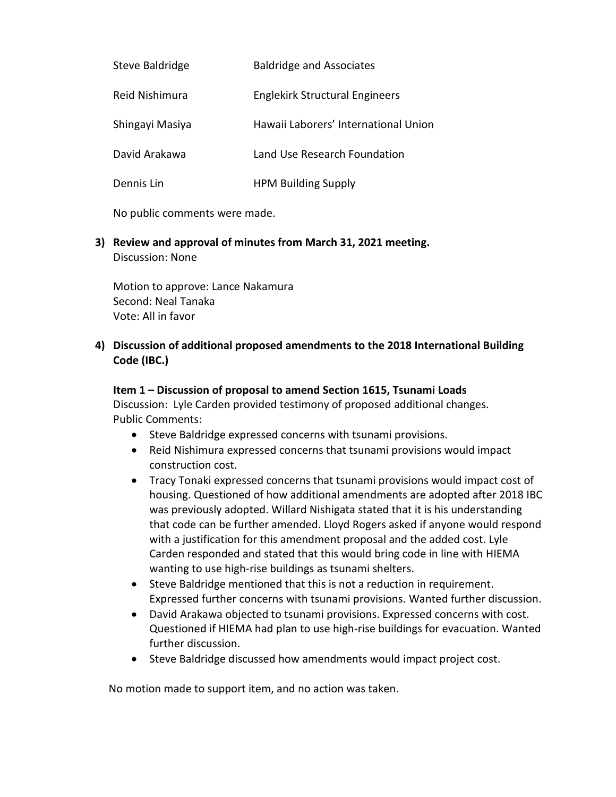| Steve Baldridge | <b>Baldridge and Associates</b>       |
|-----------------|---------------------------------------|
| Reid Nishimura  | <b>Englekirk Structural Engineers</b> |
| Shingayi Masiya | Hawaii Laborers' International Union  |
| David Arakawa   | Land Use Research Foundation          |
| Dennis Lin      | <b>HPM Building Supply</b>            |

No public comments were made.

**3) Review and approval of minutes from March 31, 2021 meeting.** Discussion: None

Motion to approve: Lance Nakamura Second: Neal Tanaka Vote: All in favor

#### **4) Discussion of additional proposed amendments to the 2018 International Building Code (IBC.)**

#### **Item 1 – Discussion of proposal to amend Section 1615, Tsunami Loads**

Discussion: Lyle Carden provided testimony of proposed additional changes. Public Comments:

- Steve Baldridge expressed concerns with tsunami provisions.
- Reid Nishimura expressed concerns that tsunami provisions would impact construction cost.
- Tracy Tonaki expressed concerns that tsunami provisions would impact cost of housing. Questioned of how additional amendments are adopted after 2018 IBC was previously adopted. Willard Nishigata stated that it is his understanding that code can be further amended. Lloyd Rogers asked if anyone would respond with a justification for this amendment proposal and the added cost. Lyle Carden responded and stated that this would bring code in line with HIEMA wanting to use high-rise buildings as tsunami shelters.
- Steve Baldridge mentioned that this is not a reduction in requirement. Expressed further concerns with tsunami provisions. Wanted further discussion.
- David Arakawa objected to tsunami provisions. Expressed concerns with cost. Questioned if HIEMA had plan to use high-rise buildings for evacuation. Wanted further discussion.
- Steve Baldridge discussed how amendments would impact project cost.

No motion made to support item, and no action was taken.